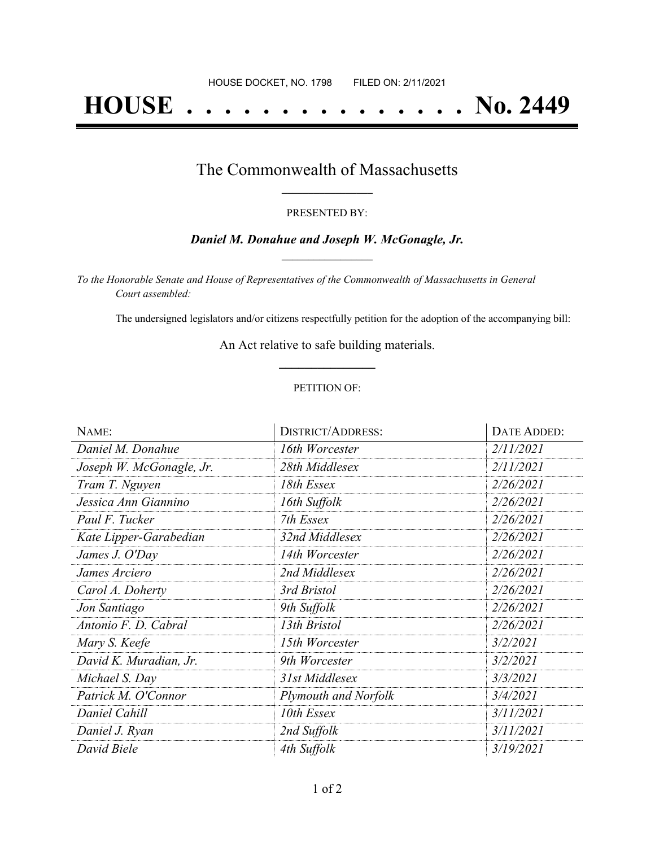# **HOUSE . . . . . . . . . . . . . . . No. 2449**

## The Commonwealth of Massachusetts **\_\_\_\_\_\_\_\_\_\_\_\_\_\_\_\_\_**

#### PRESENTED BY:

### *Daniel M. Donahue and Joseph W. McGonagle, Jr.* **\_\_\_\_\_\_\_\_\_\_\_\_\_\_\_\_\_**

*To the Honorable Senate and House of Representatives of the Commonwealth of Massachusetts in General Court assembled:*

The undersigned legislators and/or citizens respectfully petition for the adoption of the accompanying bill:

An Act relative to safe building materials. **\_\_\_\_\_\_\_\_\_\_\_\_\_\_\_**

### PETITION OF:

| NAME:                    | <b>DISTRICT/ADDRESS:</b>    | DATE ADDED: |
|--------------------------|-----------------------------|-------------|
| Daniel M. Donahue        | 16th Worcester              | 2/11/2021   |
| Joseph W. McGonagle, Jr. | 28th Middlesex              | 2/11/2021   |
| Tram T. Nguyen           | 18th Essex                  | 2/26/2021   |
| Jessica Ann Giannino     | 16th Suffolk                | 2/26/2021   |
| Paul F. Tucker           | 7th Essex                   | 2/26/2021   |
| Kate Lipper-Garabedian   | 32nd Middlesex              | 2/26/2021   |
| James J. O'Day           | 14th Worcester              | 2/26/2021   |
| James Arciero            | 2nd Middlesex               | 2/26/2021   |
| Carol A. Doherty         | 3rd Bristol                 | 2/26/2021   |
| Jon Santiago             | 9th Suffolk                 | 2/26/2021   |
| Antonio F. D. Cabral     | 13th Bristol                | 2/26/2021   |
| Mary S. Keefe            | 15th Worcester              | 3/2/2021    |
| David K. Muradian, Jr.   | 9th Worcester               | 3/2/2021    |
| Michael S. Day           | 31st Middlesex              | 3/3/2021    |
| Patrick M. O'Connor      | <b>Plymouth and Norfolk</b> | 3/4/2021    |
| Daniel Cahill            | 10th Essex                  | 3/11/2021   |
| Daniel J. Ryan           | 2nd Suffolk                 | 3/11/2021   |
| David Biele              | 4th Suffolk                 | 3/19/2021   |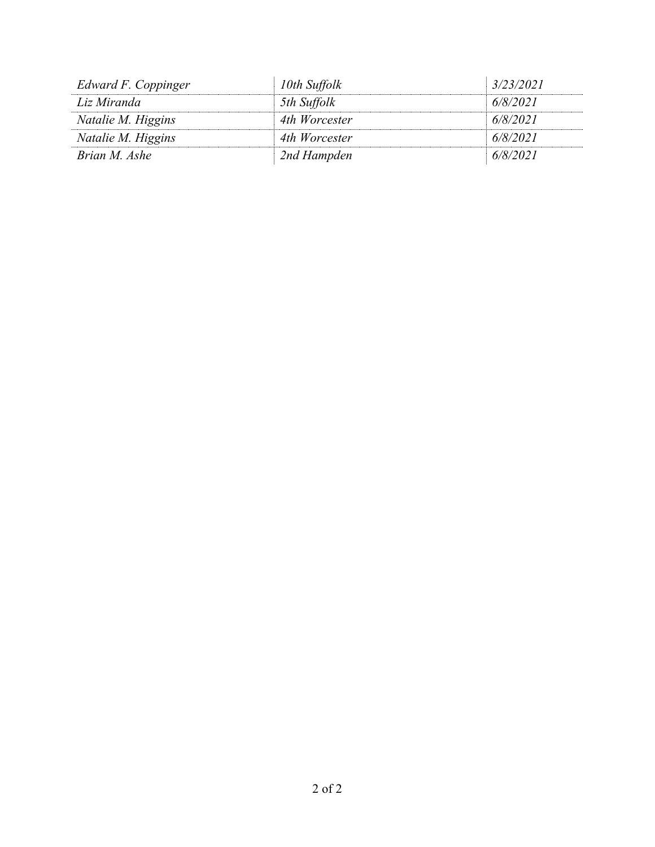| Edward F. Coppinger | 10th Suffolk  | 3/23/2021 |
|---------------------|---------------|-----------|
| Liz Miranda         | 5th Suffolk   | 6/8/2021  |
| Natalie M. Higgins  | 4th Worcester | 6/8/2021  |
| Natalie M. Higgins  | 4th Worcester | 6/8/2021  |
| Brian M. Ashe       | 2nd Hampden   | 6/8/2021  |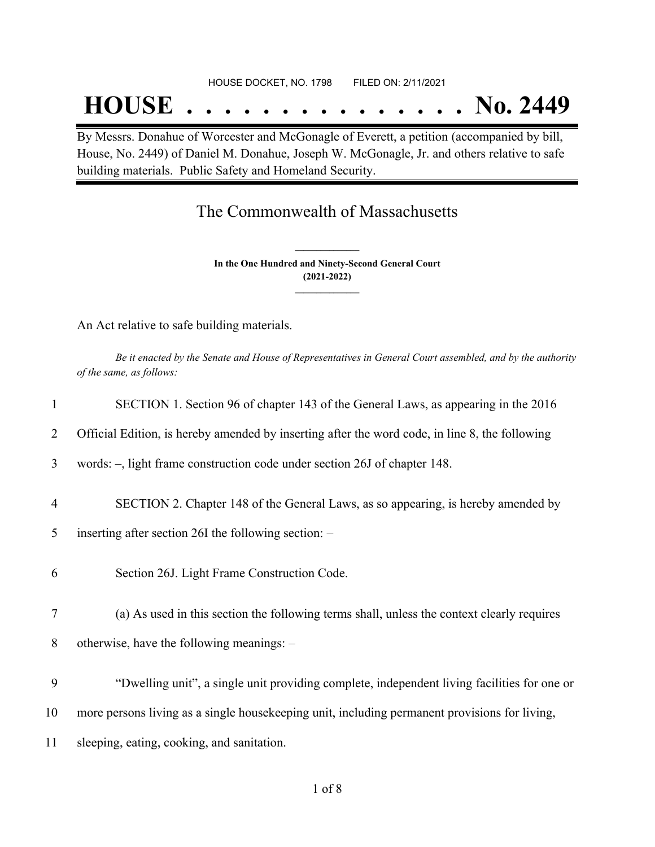# **HOUSE . . . . . . . . . . . . . . . No. 2449**

By Messrs. Donahue of Worcester and McGonagle of Everett, a petition (accompanied by bill, House, No. 2449) of Daniel M. Donahue, Joseph W. McGonagle, Jr. and others relative to safe building materials. Public Safety and Homeland Security.

## The Commonwealth of Massachusetts

**In the One Hundred and Ninety-Second General Court (2021-2022) \_\_\_\_\_\_\_\_\_\_\_\_\_\_\_**

**\_\_\_\_\_\_\_\_\_\_\_\_\_\_\_**

An Act relative to safe building materials.

Be it enacted by the Senate and House of Representatives in General Court assembled, and by the authority *of the same, as follows:*

| 1              | SECTION 1. Section 96 of chapter 143 of the General Laws, as appearing in the 2016             |
|----------------|------------------------------------------------------------------------------------------------|
| $\overline{2}$ | Official Edition, is hereby amended by inserting after the word code, in line 8, the following |
| 3              | words: -, light frame construction code under section 26J of chapter 148.                      |
| $\overline{4}$ | SECTION 2. Chapter 148 of the General Laws, as so appearing, is hereby amended by              |
| 5              | inserting after section 26I the following section: -                                           |
| 6              | Section 26J. Light Frame Construction Code.                                                    |
| 7              | (a) As used in this section the following terms shall, unless the context clearly requires     |
| 8              | otherwise, have the following meanings: -                                                      |
| 9              | "Dwelling unit", a single unit providing complete, independent living facilities for one or    |
| 10             | more persons living as a single housekeeping unit, including permanent provisions for living,  |
| 11             | sleeping, eating, cooking, and sanitation.                                                     |
|                |                                                                                                |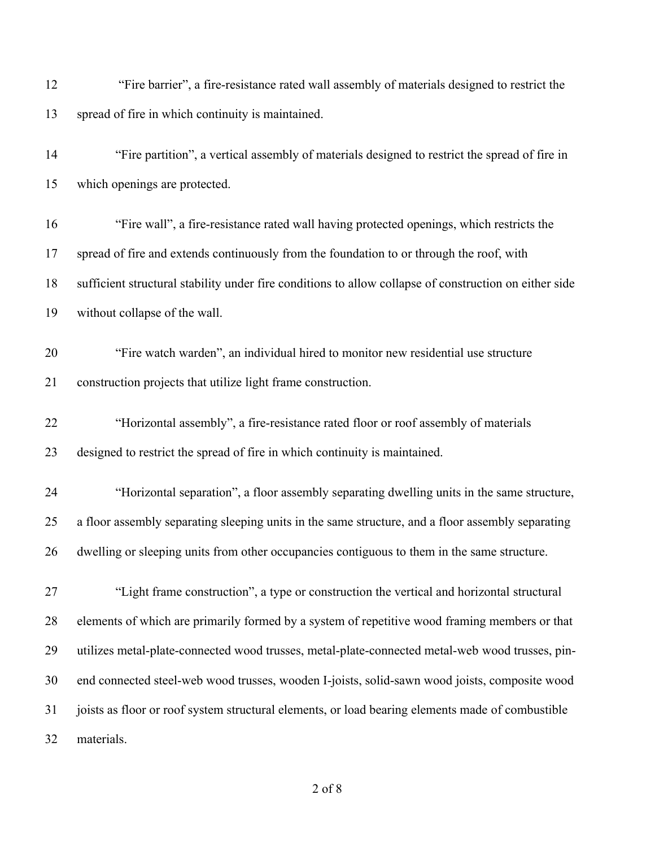| 12 | "Fire barrier", a fire-resistance rated wall assembly of materials designed to restrict the |
|----|---------------------------------------------------------------------------------------------|
|    | 13 spread of fire in which continuity is maintained.                                        |

 "Fire partition", a vertical assembly of materials designed to restrict the spread of fire in which openings are protected.

 "Fire wall", a fire-resistance rated wall having protected openings, which restricts the spread of fire and extends continuously from the foundation to or through the roof, with sufficient structural stability under fire conditions to allow collapse of construction on either side without collapse of the wall.

- "Fire watch warden", an individual hired to monitor new residential use structure construction projects that utilize light frame construction.
- "Horizontal assembly", a fire-resistance rated floor or roof assembly of materials designed to restrict the spread of fire in which continuity is maintained.
- "Horizontal separation", a floor assembly separating dwelling units in the same structure, a floor assembly separating sleeping units in the same structure, and a floor assembly separating dwelling or sleeping units from other occupancies contiguous to them in the same structure.
- "Light frame construction", a type or construction the vertical and horizontal structural elements of which are primarily formed by a system of repetitive wood framing members or that utilizes metal-plate-connected wood trusses, metal-plate-connected metal-web wood trusses, pin- end connected steel-web wood trusses, wooden I-joists, solid-sawn wood joists, composite wood joists as floor or roof system structural elements, or load bearing elements made of combustible materials.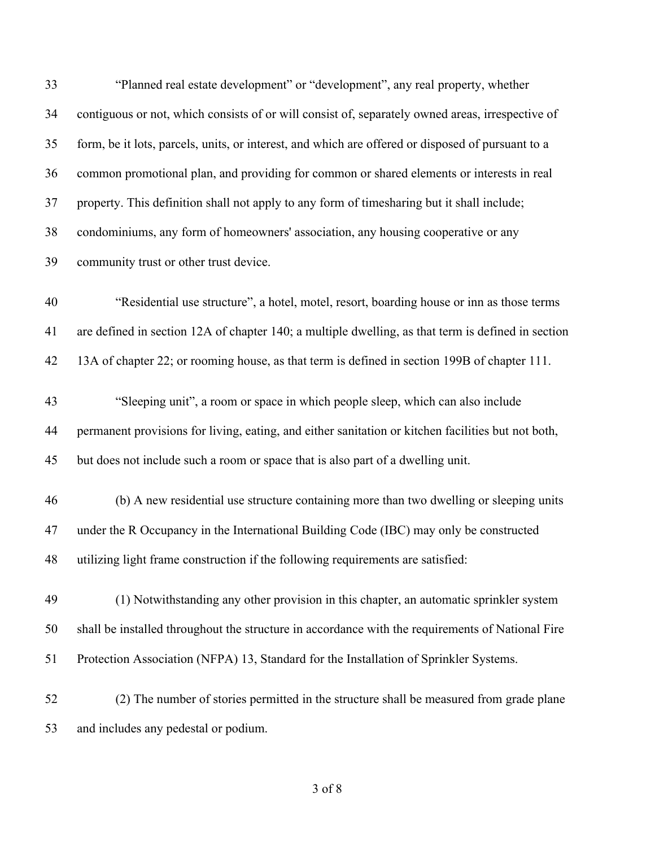| 33 | "Planned real estate development" or "development", any real property, whether                     |
|----|----------------------------------------------------------------------------------------------------|
| 34 | contiguous or not, which consists of or will consist of, separately owned areas, irrespective of   |
| 35 | form, be it lots, parcels, units, or interest, and which are offered or disposed of pursuant to a  |
| 36 | common promotional plan, and providing for common or shared elements or interests in real          |
| 37 | property. This definition shall not apply to any form of timesharing but it shall include;         |
| 38 | condominiums, any form of homeowners' association, any housing cooperative or any                  |
| 39 | community trust or other trust device.                                                             |
| 40 | "Residential use structure", a hotel, motel, resort, boarding house or inn as those terms          |
| 41 | are defined in section 12A of chapter 140; a multiple dwelling, as that term is defined in section |
| 42 | 13A of chapter 22; or rooming house, as that term is defined in section 199B of chapter 111.       |
| 43 | "Sleeping unit", a room or space in which people sleep, which can also include                     |
| 44 | permanent provisions for living, eating, and either sanitation or kitchen facilities but not both, |
| 45 | but does not include such a room or space that is also part of a dwelling unit.                    |
| 46 | (b) A new residential use structure containing more than two dwelling or sleeping units            |
| 47 | under the R Occupancy in the International Building Code (IBC) may only be constructed             |
| 48 | utilizing light frame construction if the following requirements are satisfied:                    |
| 49 | (1) Notwithstanding any other provision in this chapter, an automatic sprinkler system             |
| 50 | shall be installed throughout the structure in accordance with the requirements of National Fire   |
| 51 | Protection Association (NFPA) 13, Standard for the Installation of Sprinkler Systems.              |
| 52 | (2) The number of stories permitted in the structure shall be measured from grade plane            |
| 53 | and includes any pedestal or podium.                                                               |
|    |                                                                                                    |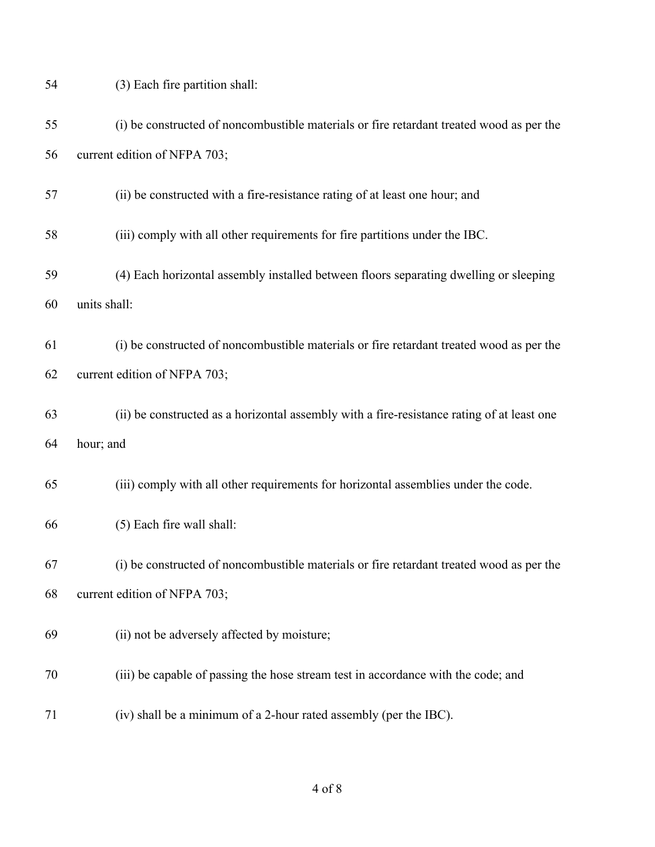| 54 | (3) Each fire partition shall:                                                             |
|----|--------------------------------------------------------------------------------------------|
| 55 | (i) be constructed of noncombustible materials or fire retardant treated wood as per the   |
| 56 | current edition of NFPA 703;                                                               |
| 57 | (ii) be constructed with a fire-resistance rating of at least one hour; and                |
| 58 | (iii) comply with all other requirements for fire partitions under the IBC.                |
| 59 | (4) Each horizontal assembly installed between floors separating dwelling or sleeping      |
| 60 | units shall:                                                                               |
| 61 | (i) be constructed of noncombustible materials or fire retardant treated wood as per the   |
| 62 | current edition of NFPA 703;                                                               |
| 63 | (ii) be constructed as a horizontal assembly with a fire-resistance rating of at least one |
| 64 | hour; and                                                                                  |
| 65 | (iii) comply with all other requirements for horizontal assemblies under the code.         |
| 66 | (5) Each fire wall shall:                                                                  |
| 67 | (i) be constructed of noncombustible materials or fire retardant treated wood as per the   |
| 68 | current edition of NFPA 703;                                                               |
| 69 | (ii) not be adversely affected by moisture;                                                |
| 70 | (iii) be capable of passing the hose stream test in accordance with the code; and          |
| 71 | (iv) shall be a minimum of a 2-hour rated assembly (per the IBC).                          |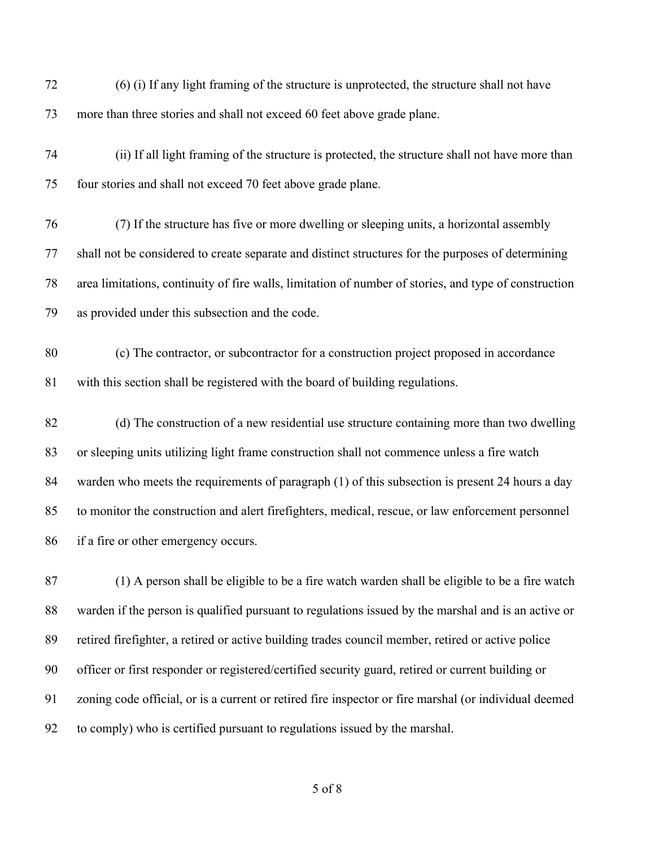| 72 | (6) (i) If any light framing of the structure is unprotected, the structure shall not have            |
|----|-------------------------------------------------------------------------------------------------------|
| 73 | more than three stories and shall not exceed 60 feet above grade plane.                               |
| 74 | (ii) If all light framing of the structure is protected, the structure shall not have more than       |
| 75 | four stories and shall not exceed 70 feet above grade plane.                                          |
| 76 | (7) If the structure has five or more dwelling or sleeping units, a horizontal assembly               |
| 77 | shall not be considered to create separate and distinct structures for the purposes of determining    |
| 78 | area limitations, continuity of fire walls, limitation of number of stories, and type of construction |
| 79 | as provided under this subsection and the code.                                                       |
| 80 | (c) The contractor, or subcontractor for a construction project proposed in accordance                |
| 81 | with this section shall be registered with the board of building regulations.                         |
| 82 | (d) The construction of a new residential use structure containing more than two dwelling             |
| 83 | or sleeping units utilizing light frame construction shall not commence unless a fire watch           |
| 84 | warden who meets the requirements of paragraph (1) of this subsection is present 24 hours a day       |
| 85 | to monitor the construction and alert firefighters, medical, rescue, or law enforcement personnel     |
| 86 | if a fire or other emergency occurs.                                                                  |
| 87 | (1) A person shall be eligible to be a fire watch warden shall be eligible to be a fire watch         |
| 88 | warden if the person is qualified pursuant to regulations issued by the marshal and is an active or   |
| 89 | retired firefighter, a retired or active building trades council member, retired or active police     |
| 90 | officer or first responder or registered/certified security guard, retired or current building or     |
| 91 | zoning code official, or is a current or retired fire inspector or fire marshal (or individual deemed |

to comply) who is certified pursuant to regulations issued by the marshal.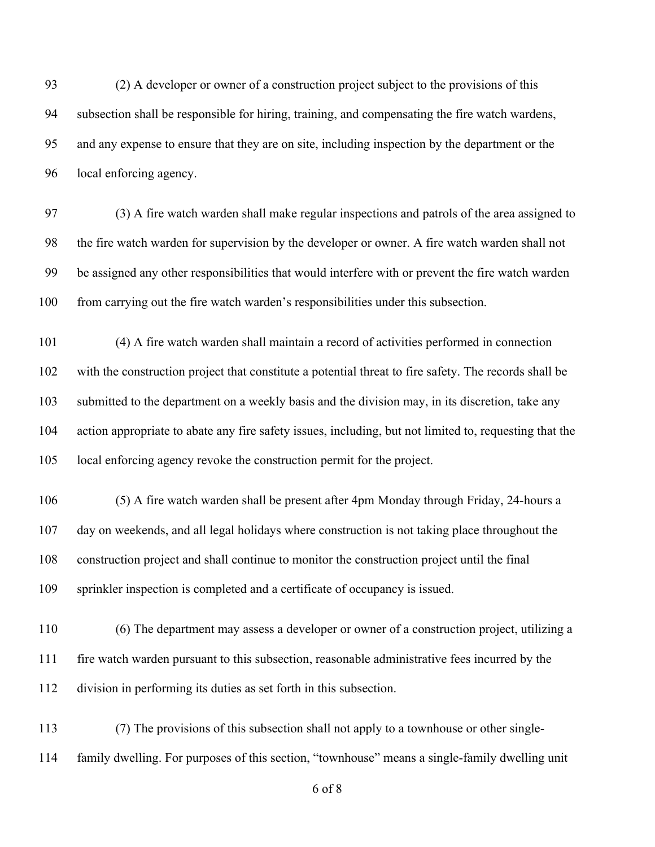(2) A developer or owner of a construction project subject to the provisions of this subsection shall be responsible for hiring, training, and compensating the fire watch wardens, and any expense to ensure that they are on site, including inspection by the department or the local enforcing agency.

 (3) A fire watch warden shall make regular inspections and patrols of the area assigned to the fire watch warden for supervision by the developer or owner. A fire watch warden shall not be assigned any other responsibilities that would interfere with or prevent the fire watch warden from carrying out the fire watch warden's responsibilities under this subsection.

 (4) A fire watch warden shall maintain a record of activities performed in connection with the construction project that constitute a potential threat to fire safety. The records shall be submitted to the department on a weekly basis and the division may, in its discretion, take any action appropriate to abate any fire safety issues, including, but not limited to, requesting that the local enforcing agency revoke the construction permit for the project.

 (5) A fire watch warden shall be present after 4pm Monday through Friday, 24-hours a day on weekends, and all legal holidays where construction is not taking place throughout the construction project and shall continue to monitor the construction project until the final sprinkler inspection is completed and a certificate of occupancy is issued.

 (6) The department may assess a developer or owner of a construction project, utilizing a fire watch warden pursuant to this subsection, reasonable administrative fees incurred by the division in performing its duties as set forth in this subsection.

 (7) The provisions of this subsection shall not apply to a townhouse or other single-family dwelling. For purposes of this section, "townhouse" means a single-family dwelling unit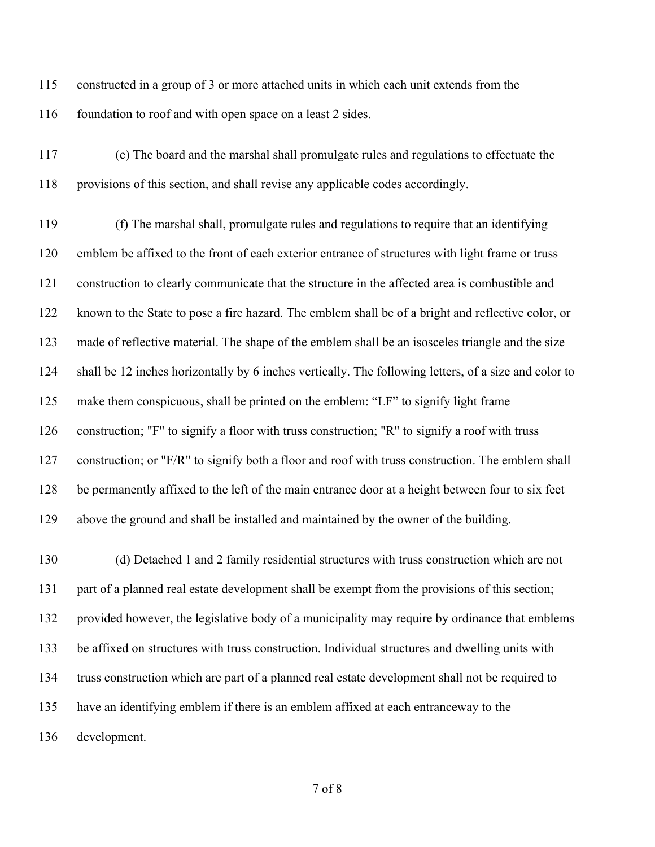constructed in a group of 3 or more attached units in which each unit extends from the 116 foundation to roof and with open space on a least 2 sides.

 (e) The board and the marshal shall promulgate rules and regulations to effectuate the provisions of this section, and shall revise any applicable codes accordingly.

 (f) The marshal shall, promulgate rules and regulations to require that an identifying emblem be affixed to the front of each exterior entrance of structures with light frame or truss construction to clearly communicate that the structure in the affected area is combustible and known to the State to pose a fire hazard. The emblem shall be of a bright and reflective color, or made of reflective material. The shape of the emblem shall be an isosceles triangle and the size shall be 12 inches horizontally by 6 inches vertically. The following letters, of a size and color to make them conspicuous, shall be printed on the emblem: "LF" to signify light frame construction; "F" to signify a floor with truss construction; "R" to signify a roof with truss construction; or "F/R" to signify both a floor and roof with truss construction. The emblem shall be permanently affixed to the left of the main entrance door at a height between four to six feet above the ground and shall be installed and maintained by the owner of the building.

 (d) Detached 1 and 2 family residential structures with truss construction which are not part of a planned real estate development shall be exempt from the provisions of this section; provided however, the legislative body of a municipality may require by ordinance that emblems be affixed on structures with truss construction. Individual structures and dwelling units with truss construction which are part of a planned real estate development shall not be required to have an identifying emblem if there is an emblem affixed at each entranceway to the development.